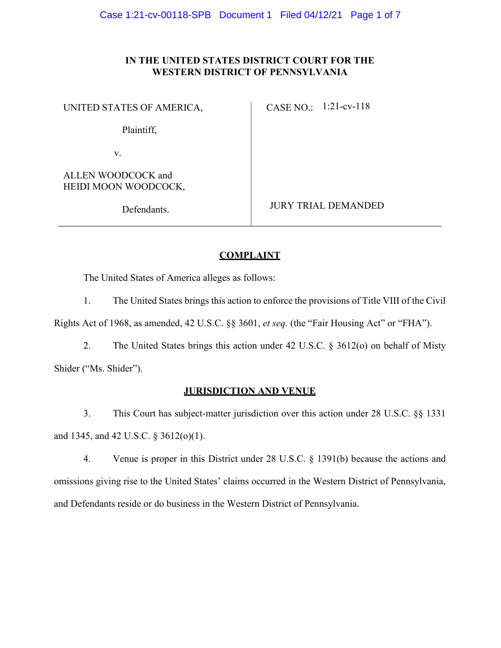# **IN THE UNITED STATES DISTRICT COURT FOR THE WESTERN DISTRICT OF PENNSYLVANIA**

UNITED STATES OF AMERICA,

CASE NO.: 1:21-cv-118

Plaintiff,

v.

ALLEN WOODCOCK and HEIDI MOON WOODCOCK,

Defendants.

JURY TRIAL DEMANDED

# **COMPLAINT**

The United States of America alleges as follows:

1. The United States brings this action to enforce the provisions of Title VIII of the Civil

Rights Act of 1968, as amended, 42 U.S.C. §§ 3601, *et seq.* (the "Fair Housing Act" or "FHA").

2. The United States brings this action under 42 U.S.C. § 3612(o) on behalf of Misty Shider ("Ms. Shider").

# **JURISDICTION AND VENUE**

3. This Court has subject-matter jurisdiction over this action under 28 U.S.C. §§ 1331 and 1345, and 42 U.S.C. § 3612(o)(1).

4. Venue is proper in this District under 28 U.S.C. § 1391(b) because the actions and omissions giving rise to the United States' claims occurred in the Western District of Pennsylvania, and Defendants reside or do business in the Western District of Pennsylvania.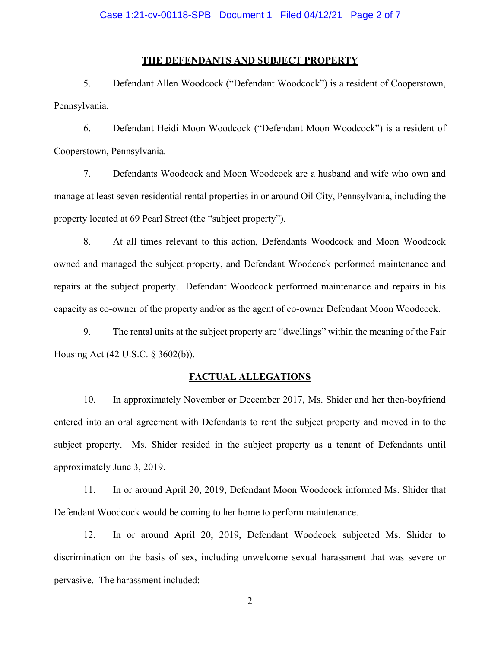## **THE DEFENDANTS AND SUBJECT PROPERTY**

5. Defendant Allen Woodcock ("Defendant Woodcock") is a resident of Cooperstown, Pennsylvania.

6. Defendant Heidi Moon Woodcock ("Defendant Moon Woodcock") is a resident of Cooperstown, Pennsylvania.

7. Defendants Woodcock and Moon Woodcock are a husband and wife who own and manage at least seven residential rental properties in or around Oil City, Pennsylvania, including the property located at 69 Pearl Street (the "subject property").

8. At all times relevant to this action, Defendants Woodcock and Moon Woodcock owned and managed the subject property, and Defendant Woodcock performed maintenance and repairs at the subject property. Defendant Woodcock performed maintenance and repairs in his capacity as co-owner of the property and/or as the agent of co-owner Defendant Moon Woodcock.

9. The rental units at the subject property are "dwellings" within the meaning of the Fair Housing Act (42 U.S.C. § 3602(b)).

#### **FACTUAL ALLEGATIONS**

10. In approximately November or December 2017, Ms. Shider and her then-boyfriend entered into an oral agreement with Defendants to rent the subject property and moved in to the subject property. Ms. Shider resided in the subject property as a tenant of Defendants until approximately June 3, 2019.

11. In or around April 20, 2019, Defendant Moon Woodcock informed Ms. Shider that Defendant Woodcock would be coming to her home to perform maintenance.

12. In or around April 20, 2019, Defendant Woodcock subjected Ms. Shider to discrimination on the basis of sex, including unwelcome sexual harassment that was severe or pervasive. The harassment included: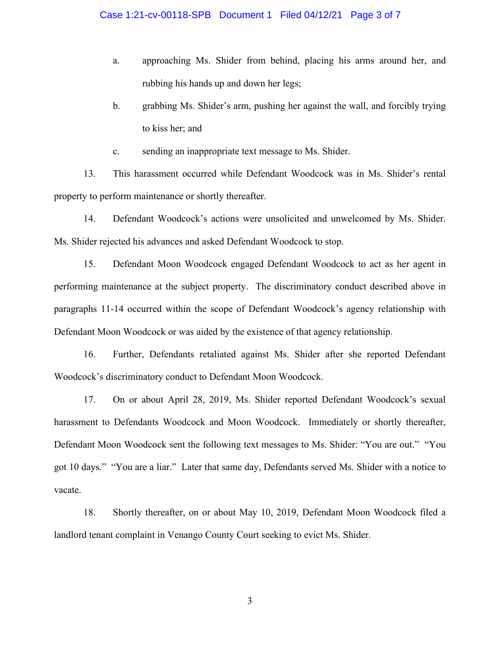- a. approaching Ms. Shider from behind, placing his arms around her, and rubbing his hands up and down her legs;
- b. grabbing Ms. Shider's arm, pushing her against the wall, and forcibly trying to kiss her; and
- c. sending an inappropriate text message to Ms. Shider.

13. This harassment occurred while Defendant Woodcock was in Ms. Shider's rental property to perform maintenance or shortly thereafter.

14. Defendant Woodcock's actions were unsolicited and unwelcomed by Ms. Shider. Ms. Shider rejected his advances and asked Defendant Woodcock to stop.

15. Defendant Moon Woodcock engaged Defendant Woodcock to act as her agent in performing maintenance at the subject property. The discriminatory conduct described above in paragraphs 11-14 occurred within the scope of Defendant Woodcock's agency relationship with Defendant Moon Woodcock or was aided by the existence of that agency relationship.

16. Further, Defendants retaliated against Ms. Shider after she reported Defendant Woodcock's discriminatory conduct to Defendant Moon Woodcock.

17. On or about April 28, 2019, Ms. Shider reported Defendant Woodcock's sexual harassment to Defendants Woodcock and Moon Woodcock. Immediately or shortly thereafter, Defendant Moon Woodcock sent the following text messages to Ms. Shider: "You are out." "You got 10 days." "You are a liar." Later that same day, Defendants served Ms. Shider with a notice to vacate.

18. Shortly thereafter, on or about May 10, 2019, Defendant Moon Woodcock filed a landlord tenant complaint in Venango County Court seeking to evict Ms. Shider.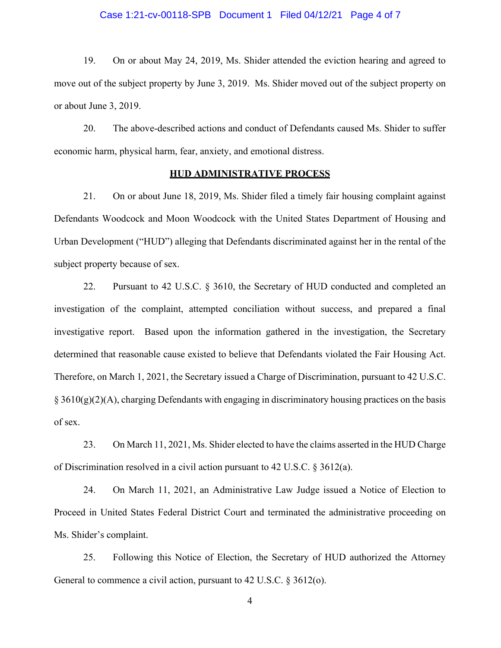### Case 1:21-cv-00118-SPB Document 1 Filed 04/12/21 Page 4 of 7

19. On or about May 24, 2019, Ms. Shider attended the eviction hearing and agreed to move out of the subject property by June 3, 2019. Ms. Shider moved out of the subject property on or about June 3, 2019.

20. The above-described actions and conduct of Defendants caused Ms. Shider to suffer economic harm, physical harm, fear, anxiety, and emotional distress.

#### **HUD ADMINISTRATIVE PROCESS**

21. On or about June 18, 2019, Ms. Shider filed a timely fair housing complaint against Defendants Woodcock and Moon Woodcock with the United States Department of Housing and Urban Development ("HUD") alleging that Defendants discriminated against her in the rental of the subject property because of sex.

22. Pursuant to 42 U.S.C. § 3610, the Secretary of HUD conducted and completed an investigation of the complaint, attempted conciliation without success, and prepared a final investigative report. Based upon the information gathered in the investigation, the Secretary determined that reasonable cause existed to believe that Defendants violated the Fair Housing Act. Therefore, on March 1, 2021, the Secretary issued a Charge of Discrimination, pursuant to 42 U.S.C.  $\S 3610(g)(2)(A)$ , charging Defendants with engaging in discriminatory housing practices on the basis of sex.

23. On March 11, 2021, Ms. Shider elected to have the claims asserted in the HUD Charge of Discrimination resolved in a civil action pursuant to 42 U.S.C. § 3612(a).

24. On March 11, 2021, an Administrative Law Judge issued a Notice of Election to Proceed in United States Federal District Court and terminated the administrative proceeding on Ms. Shider's complaint.

25. Following this Notice of Election, the Secretary of HUD authorized the Attorney General to commence a civil action, pursuant to 42 U.S.C. § 3612(o).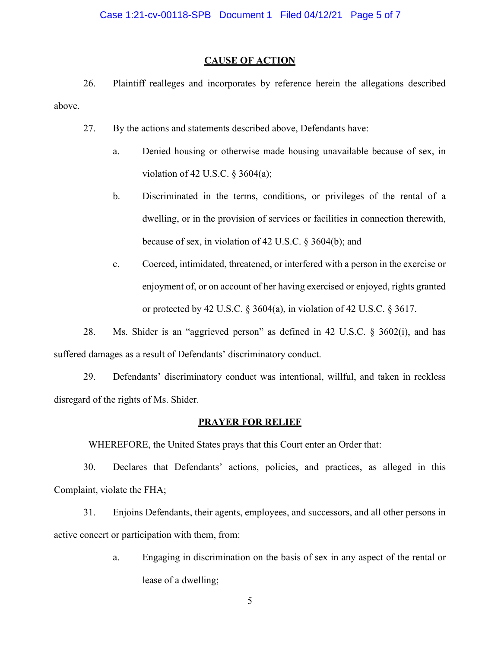## **CAUSE OF ACTION**

26. Plaintiff realleges and incorporates by reference herein the allegations described above.

27. By the actions and statements described above, Defendants have:

- a. Denied housing or otherwise made housing unavailable because of sex, in violation of 42 U.S.C. § 3604(a);
- b. Discriminated in the terms, conditions, or privileges of the rental of a dwelling, or in the provision of services or facilities in connection therewith, because of sex, in violation of 42 U.S.C. § 3604(b); and
- c. Coerced, intimidated, threatened, or interfered with a person in the exercise or enjoyment of, or on account of her having exercised or enjoyed, rights granted or protected by 42 U.S.C. § 3604(a), in violation of 42 U.S.C. § 3617.

28. Ms. Shider is an "aggrieved person" as defined in 42 U.S.C. § 3602(i), and has suffered damages as a result of Defendants' discriminatory conduct.

29. Defendants' discriminatory conduct was intentional, willful, and taken in reckless disregard of the rights of Ms. Shider.

## **PRAYER FOR RELIEF**

WHEREFORE, the United States prays that this Court enter an Order that:

30. Declares that Defendants' actions, policies, and practices, as alleged in this Complaint, violate the FHA;

31. Enjoins Defendants, their agents, employees, and successors, and all other persons in active concert or participation with them, from:

> a. Engaging in discrimination on the basis of sex in any aspect of the rental or lease of a dwelling;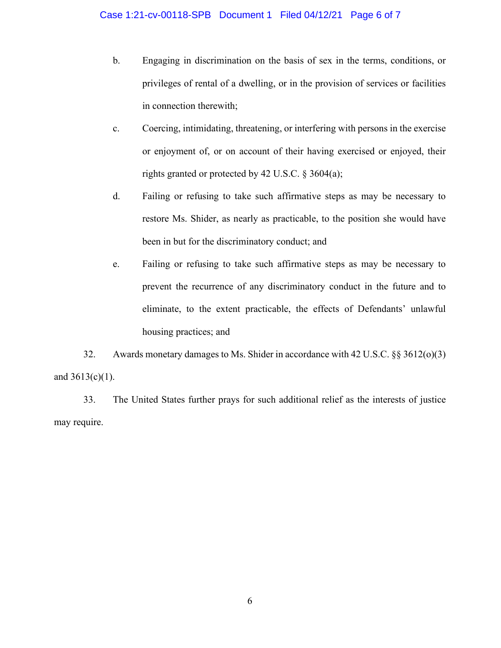- b. Engaging in discrimination on the basis of sex in the terms, conditions, or privileges of rental of a dwelling, or in the provision of services or facilities in connection therewith;
- c. Coercing, intimidating, threatening, or interfering with persons in the exercise or enjoyment of, or on account of their having exercised or enjoyed, their rights granted or protected by 42 U.S.C. § 3604(a);
- d. Failing or refusing to take such affirmative steps as may be necessary to restore Ms. Shider, as nearly as practicable, to the position she would have been in but for the discriminatory conduct; and
- e. Failing or refusing to take such affirmative steps as may be necessary to prevent the recurrence of any discriminatory conduct in the future and to eliminate, to the extent practicable, the effects of Defendants' unlawful housing practices; and

32. Awards monetary damages to Ms. Shider in accordance with 42 U.S.C. §§ 3612(o)(3) and 3613(c)(1).

33. The United States further prays for such additional relief as the interests of justice may require.